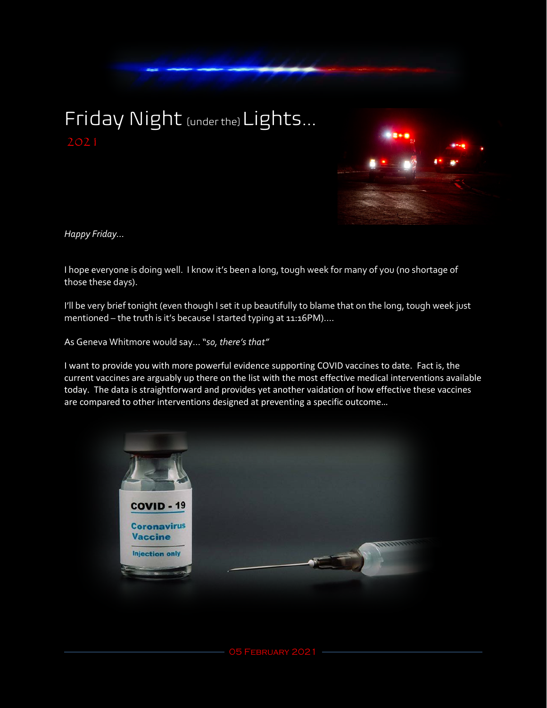## Friday Night [under the] Lights...



*Happy Friday...*

I hope everyone is doing well. I know it's been a long, tough week for many of you (no shortage of those these days).

I'll be very brief tonight (even though I set it up beautifully to blame that on the long, tough week just mentioned – the truth is it's because I started typing at 11:16PM)....

As Geneva Whitmore would say… "*so, there's that"*

I want to provide you with more powerful evidence supporting COVID vaccines to date. Fact is, the current vaccines are arguably up there on the list with the most effective medical interventions available today. The data is straightforward and provides yet another vaidation of how effective these vaccines are compared to other interventions designed at preventing a specific outcome…